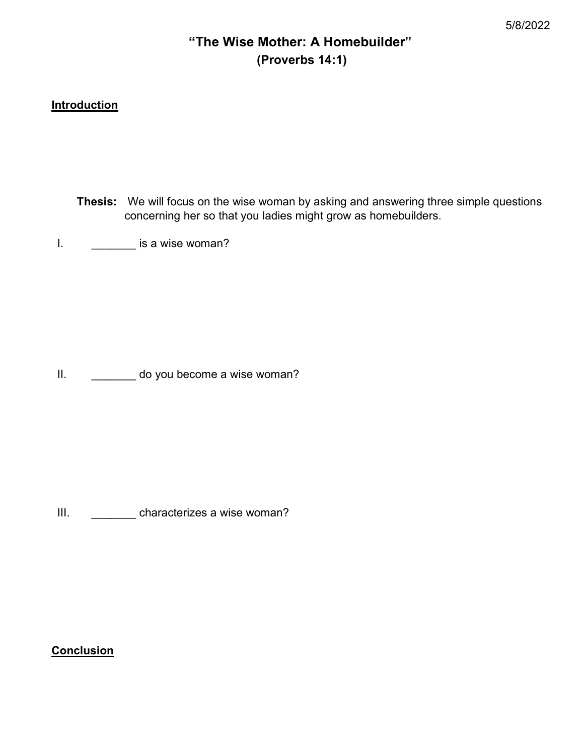# "The Wise Mother: A Homebuilder" (Proverbs 14:1)

## **Introduction**

Thesis: We will focus on the wise woman by asking and answering three simple questions concerning her so that you ladies might grow as homebuilders.

I. **\_\_\_\_\_\_** is a wise woman?

II. \_\_\_\_\_\_\_\_ do you become a wise woman?

III. \_\_\_\_\_\_\_\_\_ characterizes a wise woman?

**Conclusion**